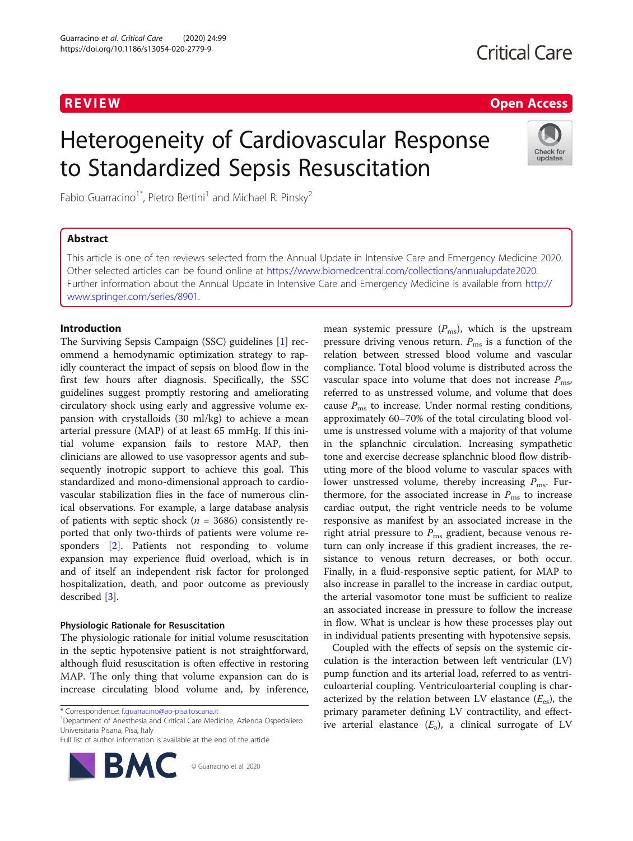# R EVI EW Open Access

Check for update

# Heterogeneity of Cardiovascular Response to Standardized Sepsis Resuscitation

Fabio Guarracino<sup>1\*</sup>, Pietro Bertini<sup>1</sup> and Michael R. Pinsky<sup>2</sup>

## Abstract

This article is one of ten reviews selected from the Annual Update in Intensive Care and Emergency Medicine 2020. Other selected articles can be found online at [https://www.biomedcentral.com/collections/annualupdate2020.](https://www.biomedcentral.com/collections/annualupdate2020) Further information about the Annual Update in Intensive Care and Emergency Medicine is available from [http://](http://www.springer.com/series/8901) [www.springer.com/series/8901](http://www.springer.com/series/8901).

## Introduction

The Surviving Sepsis Campaign (SSC) guidelines [\[1](#page-3-0)] recommend a hemodynamic optimization strategy to rapidly counteract the impact of sepsis on blood flow in the first few hours after diagnosis. Specifically, the SSC guidelines suggest promptly restoring and ameliorating circulatory shock using early and aggressive volume expansion with crystalloids (30 ml/kg) to achieve a mean arterial pressure (MAP) of at least 65 mmHg. If this initial volume expansion fails to restore MAP, then clinicians are allowed to use vasopressor agents and subsequently inotropic support to achieve this goal. This standardized and mono-dimensional approach to cardiovascular stabilization flies in the face of numerous clinical observations. For example, a large database analysis of patients with septic shock ( $n = 3686$ ) consistently reported that only two-thirds of patients were volume responders [\[2](#page-3-0)]. Patients not responding to volume expansion may experience fluid overload, which is in and of itself an independent risk factor for prolonged hospitalization, death, and poor outcome as previously described [[3](#page-3-0)].

## Physiologic Rationale for Resuscitation

The physiologic rationale for initial volume resuscitation in the septic hypotensive patient is not straightforward, although fluid resuscitation is often effective in restoring MAP. The only thing that volume expansion can do is increase circulating blood volume and, by inference,

\* Correspondence: [f.guarracino@ao-pisa.toscana.it](mailto:f.guarracino@ao-pisa.toscana.it) <sup>1</sup>

Department of Anesthesia and Critical Care Medicine, Azienda Ospedaliero Universitaria Pisana, Pisa, Italy

Full list of author information is available at the end of the article



© Guarracino et al. 2020

mean systemic pressure  $(P_{\text{ms}})$ , which is the upstream pressure driving venous return.  $P_{\text{ms}}$  is a function of the relation between stressed blood volume and vascular compliance. Total blood volume is distributed across the vascular space into volume that does not increase  $P_{\text{ms}}$ , referred to as unstressed volume, and volume that does cause  $P_{\text{ms}}$  to increase. Under normal resting conditions, approximately 60–70% of the total circulating blood volume is unstressed volume with a majority of that volume in the splanchnic circulation. Increasing sympathetic tone and exercise decrease splanchnic blood flow distributing more of the blood volume to vascular spaces with lower unstressed volume, thereby increasing  $P_{\text{ms}}$ . Furthermore, for the associated increase in  $P_{\text{ms}}$  to increase cardiac output, the right ventricle needs to be volume responsive as manifest by an associated increase in the right atrial pressure to  $P_{\text{ms}}$  gradient, because venous return can only increase if this gradient increases, the resistance to venous return decreases, or both occur. Finally, in a fluid-responsive septic patient, for MAP to also increase in parallel to the increase in cardiac output, the arterial vasomotor tone must be sufficient to realize an associated increase in pressure to follow the increase in flow. What is unclear is how these processes play out in individual patients presenting with hypotensive sepsis.

Coupled with the effects of sepsis on the systemic circulation is the interaction between left ventricular (LV) pump function and its arterial load, referred to as ventriculoarterial coupling. Ventriculoarterial coupling is characterized by the relation between LV elastance  $(E_{es})$ , the primary parameter defining LV contractility, and effective arterial elastance  $(E_a)$ , a clinical surrogate of LV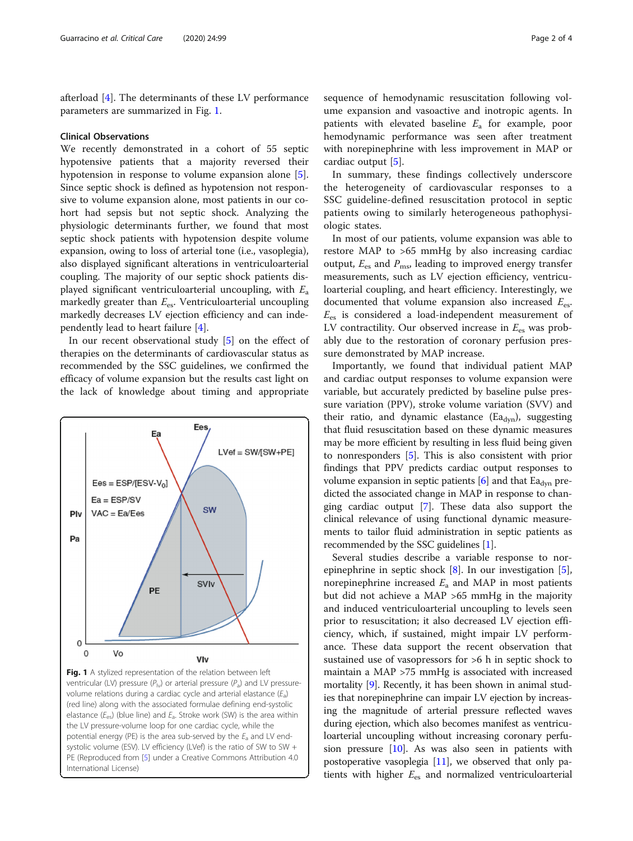afterload [[4\]](#page-3-0). The determinants of these LV performance parameters are summarized in Fig. 1.

#### Clinical Observations

We recently demonstrated in a cohort of 55 septic hypotensive patients that a majority reversed their hypotension in response to volume expansion alone [\[5](#page-3-0)]. Since septic shock is defined as hypotension not responsive to volume expansion alone, most patients in our cohort had sepsis but not septic shock. Analyzing the physiologic determinants further, we found that most septic shock patients with hypotension despite volume expansion, owing to loss of arterial tone (i.e., vasoplegia), also displayed significant alterations in ventriculoarterial coupling. The majority of our septic shock patients displayed significant ventriculoarterial uncoupling, with  $E_a$ markedly greater than  $E_{\text{es}}$ . Ventriculoarterial uncoupling markedly decreases LV ejection efficiency and can independently lead to heart failure [\[4](#page-3-0)].

In our recent observational study [[5\]](#page-3-0) on the effect of therapies on the determinants of cardiovascular status as recommended by the SSC guidelines, we confirmed the efficacy of volume expansion but the results cast light on the lack of knowledge about timing and appropriate



Fig. 1 A stylized representation of the relation between left ventricular (LV) pressure ( $P_{1v}$ ) or arterial pressure ( $P_a$ ) and LV pressurevolume relations during a cardiac cycle and arterial elastance  $(E_a)$ (red line) along with the associated formulae defining end-systolic elastance ( $E_{es}$ ) (blue line) and  $E_{a}$ . Stroke work (SW) is the area within the LV pressure-volume loop for one cardiac cycle, while the potential energy (PE) is the area sub-served by the  $E_a$  and LV endsystolic volume (ESV). LV efficiency (LVef) is the ratio of SW to SW + PE (Reproduced from [[5](#page-3-0)] under a Creative Commons Attribution 4.0 International License)

sequence of hemodynamic resuscitation following volume expansion and vasoactive and inotropic agents. In patients with elevated baseline  $E<sub>a</sub>$  for example, poor hemodynamic performance was seen after treatment with norepinephrine with less improvement in MAP or cardiac output [\[5](#page-3-0)].

In summary, these findings collectively underscore the heterogeneity of cardiovascular responses to a SSC guideline-defined resuscitation protocol in septic patients owing to similarly heterogeneous pathophysiologic states.

In most of our patients, volume expansion was able to restore MAP to >65 mmHg by also increasing cardiac output,  $E_{\text{es}}$  and  $P_{\text{ms}}$ , leading to improved energy transfer measurements, such as LV ejection efficiency, ventriculoarterial coupling, and heart efficiency. Interestingly, we documented that volume expansion also increased  $E_{\text{es}}$ .  $E_{\text{es}}$  is considered a load-independent measurement of LV contractility. Our observed increase in  $E_{\text{es}}$  was probably due to the restoration of coronary perfusion pressure demonstrated by MAP increase.

Importantly, we found that individual patient MAP and cardiac output responses to volume expansion were variable, but accurately predicted by baseline pulse pressure variation (PPV), stroke volume variation (SVV) and their ratio, and dynamic elastance  $(Eq_{dyn})$ , suggesting that fluid resuscitation based on these dynamic measures may be more efficient by resulting in less fluid being given to nonresponders [\[5](#page-3-0)]. This is also consistent with prior findings that PPV predicts cardiac output responses to volume expansion in septic patients  $[6]$  $[6]$  $[6]$  and that  $\text{Ea}_{\text{dyn}}$  predicted the associated change in MAP in response to changing cardiac output [\[7](#page-3-0)]. These data also support the clinical relevance of using functional dynamic measurements to tailor fluid administration in septic patients as recommended by the SSC guidelines [\[1\]](#page-3-0).

Several studies describe a variable response to norepinephrine in septic shock [[8\]](#page-3-0). In our investigation [\[5](#page-3-0)], norepinephrine increased  $E_a$  and MAP in most patients but did not achieve a MAP >65 mmHg in the majority and induced ventriculoarterial uncoupling to levels seen prior to resuscitation; it also decreased LV ejection efficiency, which, if sustained, might impair LV performance. These data support the recent observation that sustained use of vasopressors for >6 h in septic shock to maintain a MAP >75 mmHg is associated with increased mortality [\[9](#page-3-0)]. Recently, it has been shown in animal studies that norepinephrine can impair LV ejection by increasing the magnitude of arterial pressure reflected waves during ejection, which also becomes manifest as ventriculoarterial uncoupling without increasing coronary perfusion pressure [\[10\]](#page-3-0). As was also seen in patients with postoperative vasoplegia [\[11](#page-3-0)], we observed that only patients with higher  $E_{es}$  and normalized ventriculoarterial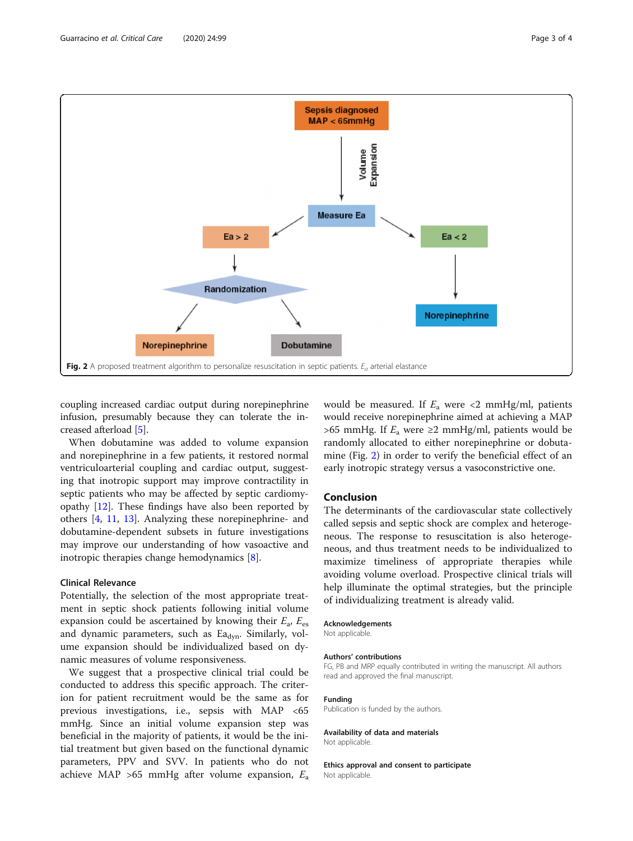

coupling increased cardiac output during norepinephrine infusion, presumably because they can tolerate the increased afterload [[5](#page-3-0)].

When dobutamine was added to volume expansion and norepinephrine in a few patients, it restored normal ventriculoarterial coupling and cardiac output, suggesting that inotropic support may improve contractility in septic patients who may be affected by septic cardiomyopathy [[12](#page-3-0)]. These findings have also been reported by others [\[4](#page-3-0), [11](#page-3-0), [13](#page-3-0)]. Analyzing these norepinephrine- and dobutamine-dependent subsets in future investigations may improve our understanding of how vasoactive and inotropic therapies change hemodynamics [[8\]](#page-3-0).

## Clinical Relevance

Potentially, the selection of the most appropriate treatment in septic shock patients following initial volume expansion could be ascertained by knowing their  $E_a$ ,  $E_{es}$ and dynamic parameters, such as  $E_{\text{dyn}}$ . Similarly, volume expansion should be individualized based on dynamic measures of volume responsiveness.

We suggest that a prospective clinical trial could be conducted to address this specific approach. The criterion for patient recruitment would be the same as for previous investigations, i.e., sepsis with MAP <65 mmHg. Since an initial volume expansion step was beneficial in the majority of patients, it would be the initial treatment but given based on the functional dynamic parameters, PPV and SVV. In patients who do not achieve MAP >65 mmHg after volume expansion,  $E_a$  would be measured. If  $E_a$  were <2 mmHg/ml, patients would receive norepinephrine aimed at achieving a MAP >65 mmHg. If  $E_a$  were ≥2 mmHg/ml, patients would be randomly allocated to either norepinephrine or dobutamine (Fig. 2) in order to verify the beneficial effect of an early inotropic strategy versus a vasoconstrictive one.

## Conclusion

The determinants of the cardiovascular state collectively called sepsis and septic shock are complex and heterogeneous. The response to resuscitation is also heterogeneous, and thus treatment needs to be individualized to maximize timeliness of appropriate therapies while avoiding volume overload. Prospective clinical trials will help illuminate the optimal strategies, but the principle of individualizing treatment is already valid.

#### Acknowledgements

Not applicable.

#### Authors' contributions

FG, PB and MRP equally contributed in writing the manuscript. All authors read and approved the final manuscript.

#### Funding

Publication is funded by the authors.

## Availability of data and materials

Not applicable.

Ethics approval and consent to participate Not applicable.